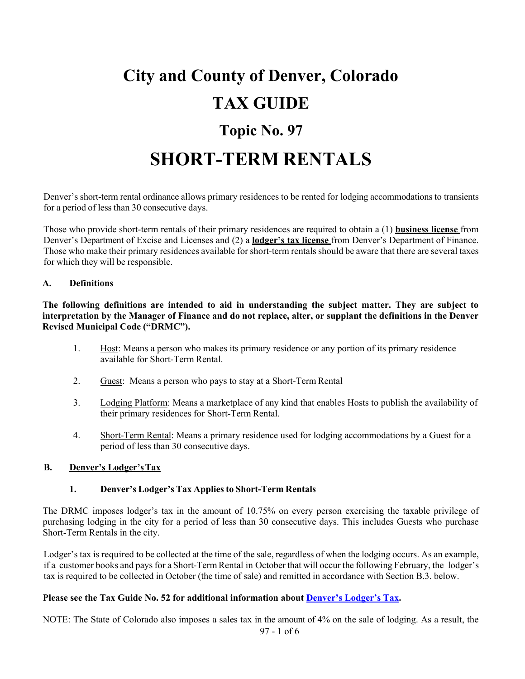# **City and County of Denver, Colorado TAX GUIDE Topic No. 97**

# **SHORT-TERM RENTALS**

Denver's short-term rental ordinance allows primary residences to be rented for lodging accommodations to transients for a period of less than 30 consecutive days.

Those who provide short-term rentals of their primary residences are required to obtain a (1) **business license** from Denver's Department of Excise and Licenses and (2) a **lodger's tax license** from Denver's Department of Finance. Those who make their primary residences available for short-term rentals should be aware that there are several taxes for which they will be responsible.

#### **A. Definitions**

**The following definitions are intended to aid in understanding the subject matter. They are subject to**  interpretation by the Manager of Finance and do not replace, alter, or supplant the definitions in the Denver **Revised Municipal Code ("DRMC").**

- 1. Host: Means a person who makes its primary residence or any portion of its primary residence available for Short-Term Rental.
- 2. Guest: Means a person who pays to stay at a Short-Term Rental
- 3. Lodging Platform: Means a marketplace of any kind that enables Hosts to publish the availability of their primary residences for Short-Term Rental.
- 4. Short-Term Rental: Means a primary residence used for lodging accommodations by a Guest for a period of less than 30 consecutive days.

#### **B. Denver's Lodger'sTax**

#### **1. Denver's Lodger's Tax Applies to Short-Term Rentals**

The DRMC imposes lodger's tax in the amount of 10.75% on every person exercising the taxable privilege of purchasing lodging in the city for a period of less than 30 consecutive days. This includes Guests who purchase Short-Term Rentals in the city.

Lodger's tax is required to be collected at the time of the sale, regardless of when the lodging occurs. As an example, if a customer books and pays for a Short-Term Rental in October that will occur the following February, the lodger's tax is required to be collected in October (the time of sale) and remitted in accordance with Section B.3. below.

#### **Please see the Tax Guide No. 52 for additional information about [Denver's Lodger's Tax.](https://www.denvergov.org/content/dam/denvergov/Portals/571/documents/TaxGuide/TaxGuideTopic52_LodgersTax.pdf)**

97 - 1 of 6 NOTE: The State of Colorado also imposes a sales tax in the amount of 4% on the sale of lodging. As a result, the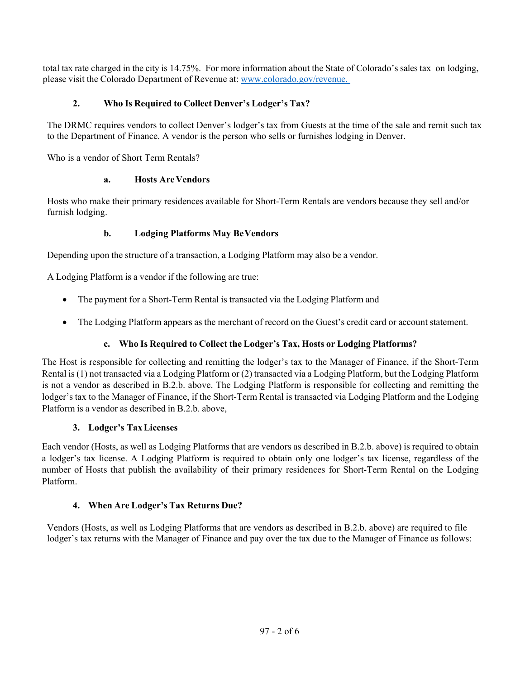total tax rate charged in the city is 14.75%. For more information about the State of Colorado's salestax on lodging, please visit the Colorado Department of Revenue at: [www.colorado.gov/revenue.](http://www.colorado.gov/revenue)

# **2. Who Is Required to Collect Denver's Lodger's Tax?**

The DRMC requires vendors to collect Denver's lodger's tax from Guests at the time of the sale and remit such tax to the Department of Finance. A vendor is the person who sells or furnishes lodging in Denver.

Who is a vendor of Short Term Rentals?

## **a. Hosts AreVendors**

Hosts who make their primary residences available for Short-Term Rentals are vendors because they sell and/or furnish lodging.

# **b. Lodging Platforms May BeVendors**

Depending upon the structure of a transaction, a Lodging Platform may also be a vendor.

A Lodging Platform is a vendor if the following are true:

- The payment for a Short-Term Rental is transacted via the Lodging Platform and
- The Lodging Platform appears as the merchant of record on the Guest's credit card or account statement.

# **c. Who Is Required to Collect the Lodger's Tax, Hosts or Lodging Platforms?**

The Host is responsible for collecting and remitting the lodger's tax to the Manager of Finance, if the Short-Term Rental is (1) not transacted via a Lodging Platform or (2) transacted via a Lodging Platform, but the Lodging Platform is not a vendor as described in B.2.b. above. The Lodging Platform is responsible for collecting and remitting the lodger's tax to the Manager of Finance, if the Short-Term Rental is transacted via Lodging Platform and the Lodging Platform is a vendor as described in B.2.b. above,

# **3. Lodger's TaxLicenses**

Each vendor (Hosts, as well as Lodging Platforms that are vendors as described in B.2.b. above) is required to obtain a lodger's tax license. A Lodging Platform is required to obtain only one lodger's tax license, regardless of the number of Hosts that publish the availability of their primary residences for Short-Term Rental on the Lodging Platform.

# **4. When Are Lodger's Tax Returns Due?**

Vendors (Hosts, as well as Lodging Platforms that are vendors as described in B.2.b. above) are required to file lodger's tax returns with the Manager of Finance and pay over the tax due to the Manager of Finance as follows: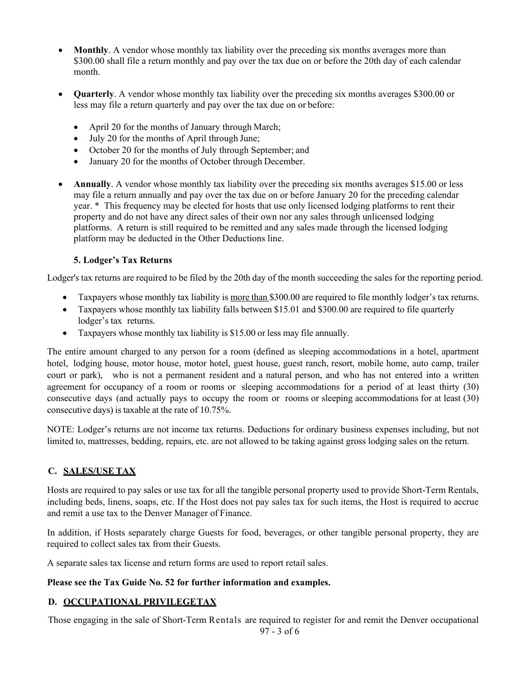- **Monthly.** A vendor whose monthly tax liability over the preceding six months averages more than \$300.00 shall file a return monthly and pay over the tax due on or before the 20th day of each calendar month.
- **Quarterly**. A vendor whose monthly tax liability over the preceding six months averages \$300.00 or less may file a return quarterly and pay over the tax due on or before:
	- April 20 for the months of January through March;
	- July 20 for the months of April through June;
	- October 20 for the months of July through September; and
	- January 20 for the months of October through December.
- **Annually**. A vendor whose monthly tax liability over the preceding six months averages \$15.00 or less may file a return annually and pay over the tax due on or before January 20 for the preceding calendar year. \* This frequency may be elected for hosts that use only licensed lodging platforms to rent their property and do not have any direct sales of their own nor any sales through unlicensed lodging platforms. A return is still required to be remitted and any sales made through the licensed lodging platform may be deducted in the Other Deductions line.

### **5. Lodger's Tax Returns**

Lodger's tax returns are required to be filed by the 20th day of the month succeeding the sales for the reporting period.

- Taxpayers whose monthly tax liability is more than \$300.00 are required to file monthly lodger's tax returns.
- Taxpayers whose monthly tax liability falls between \$15.01 and \$300.00 are required to file quarterly lodger's tax returns.
- Taxpayers whose monthly tax liability is \$15.00 or less may file annually.

The entire amount charged to any person for a room (defined as sleeping accommodations in a hotel, apartment hotel, lodging house, motor house, motor hotel, guest house, guest ranch, resort, mobile home, auto camp, trailer court or park), who is not a permanent resident and a natural person, and who has not entered into a written agreement for occupancy of a room or rooms or sleeping accommodations for a period of at least thirty (30) consecutive days (and actually pays to occupy the room or rooms or sleeping accommodations for at least (30) consecutive days) is taxable at the rate of 10.75%.

NOTE: Lodger's returns are not income tax returns. Deductions for ordinary business expenses including, but not limited to, mattresses, bedding, repairs, etc. are not allowed to be taking against gross lodging sales on the return.

### **C. SALES/USE TAX**

Hosts are required to pay sales or use tax for all the tangible personal property used to provide Short-Term Rentals, including beds, linens, soaps, etc. If the Host does not pay sales tax for such items, the Host is required to accrue and remit a use tax to the Denver Manager of Finance.

In addition, if Hosts separately charge Guests for food, beverages, or other tangible personal property, they are required to collect sales tax from their Guests.

A separate sales tax license and return forms are used to report retail sales.

### **Please see the Tax Guide No. 52 for further information and examples.**

# **D. OCCUPATIONAL PRIVILEGETAX**

Those engaging in the sale of Short-Term Rentals are required to register for and remit the Denver occupational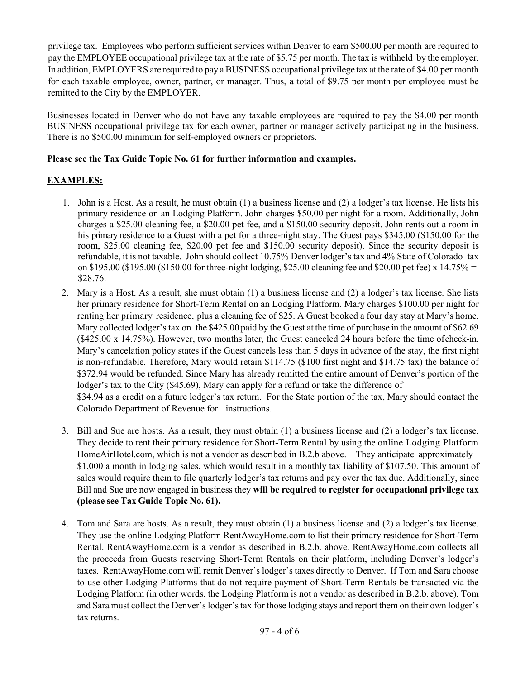privilege tax. Employees who perform sufficient services within Denver to earn \$500.00 per month are required to pay the EMPLOYEE occupational privilege tax at the rate of \$5.75 per month. The tax is withheld by the employer. In addition, EMPLOYERS are required to pay a BUSINESS occupational privilege tax at the rate of \$4.00 per month for each taxable employee, owner, partner, or manager. Thus, a total of \$9.75 per month per employee must be remitted to the City by the EMPLOYER.

Businesses located in Denver who do not have any taxable employees are required to pay the \$4.00 per month BUSINESS occupational privilege tax for each owner, partner or manager actively participating in the business. There is no \$500.00 minimum for self-employed owners or proprietors.

#### **Please see the Tax Guide Topic No. 61 for further information and examples.**

### **EXAMPLES:**

- 1. John is a Host. As a result, he must obtain (1) a business license and (2) a lodger's tax license. He lists his primary residence on an Lodging Platform. John charges \$50.00 per night for a room. Additionally, John charges a \$25.00 cleaning fee, a \$20.00 pet fee, and a \$150.00 security deposit. John rents out a room in his primary residence to a Guest with a pet for a three-night stay. The Guest pays \$345.00 (\$150.00 for the room, \$25.00 cleaning fee, \$20.00 pet fee and \$150.00 security deposit). Since the security deposit is refundable, it is not taxable. John should collect 10.75% Denver lodger's tax and 4% State of Colorado tax on \$195.00 (\$195.00 (\$150.00 for three-night lodging, \$25.00 cleaning fee and \$20.00 pet fee) x 14.75% = \$28.76.
- 2. Mary is a Host. As a result, she must obtain (1) a business license and (2) a lodger's tax license. She lists her primary residence for Short-Term Rental on an Lodging Platform. Mary charges \$100.00 per night for renting her primary residence, plus a cleaning fee of \$25. A Guest booked a four day stay at Mary's home. Mary collected lodger's tax on the \$425.00 paid by the Guest at the time of purchase in the amount of \$62.69 (\$425.00 x 14.75%). However, two months later, the Guest canceled 24 hours before the time ofcheck-in. Mary's cancelation policy states if the Guest cancels less than 5 days in advance of the stay, the first night is non-refundable. Therefore, Mary would retain \$114.75 (\$100 first night and \$14.75 tax) the balance of \$372.94 would be refunded. Since Mary has already remitted the entire amount of Denver's portion of the lodger's tax to the City (\$45.69), Mary can apply for a refund or take the difference of \$34.94 as a credit on a future lodger's tax return. For the State portion of the tax, Mary should contact the Colorado Department of Revenue for instructions.
- 3. Bill and Sue are hosts. As a result, they must obtain (1) a business license and (2) a lodger's tax license. They decide to rent their primary residence for Short-Term Rental by using the online Lodging Platform HomeAirHotel.com, which is not a vendor as described in B.2.b above. They anticipate approximately \$1,000 a month in lodging sales, which would result in a monthly tax liability of \$107.50. This amount of sales would require them to file quarterly lodger's tax returns and pay over the tax due. Additionally, since Bill and Sue are now engaged in business they **will be required to register for occupational privilege tax (please see Tax Guide Topic No. 61).**
- 4. Tom and Sara are hosts. As a result, they must obtain (1) a business license and (2) a lodger's tax license. They use the online Lodging Platform RentAwayHome.com to list their primary residence for Short-Term Rental. RentAwayHome.com is a vendor as described in B.2.b. above. RentAwayHome.com collects all the proceeds from Guests reserving Short-Term Rentals on their platform, including Denver's lodger's taxes. RentAwayHome.com will remit Denver's lodger's taxes directly to Denver. If Tom and Sara choose to use other Lodging Platforms that do not require payment of Short-Term Rentals be transacted via the Lodging Platform (in other words, the Lodging Platform is not a vendor as described in B.2.b. above), Tom and Sara must collect the Denver's lodger's tax for those lodging stays and report them on their own lodger's tax returns.